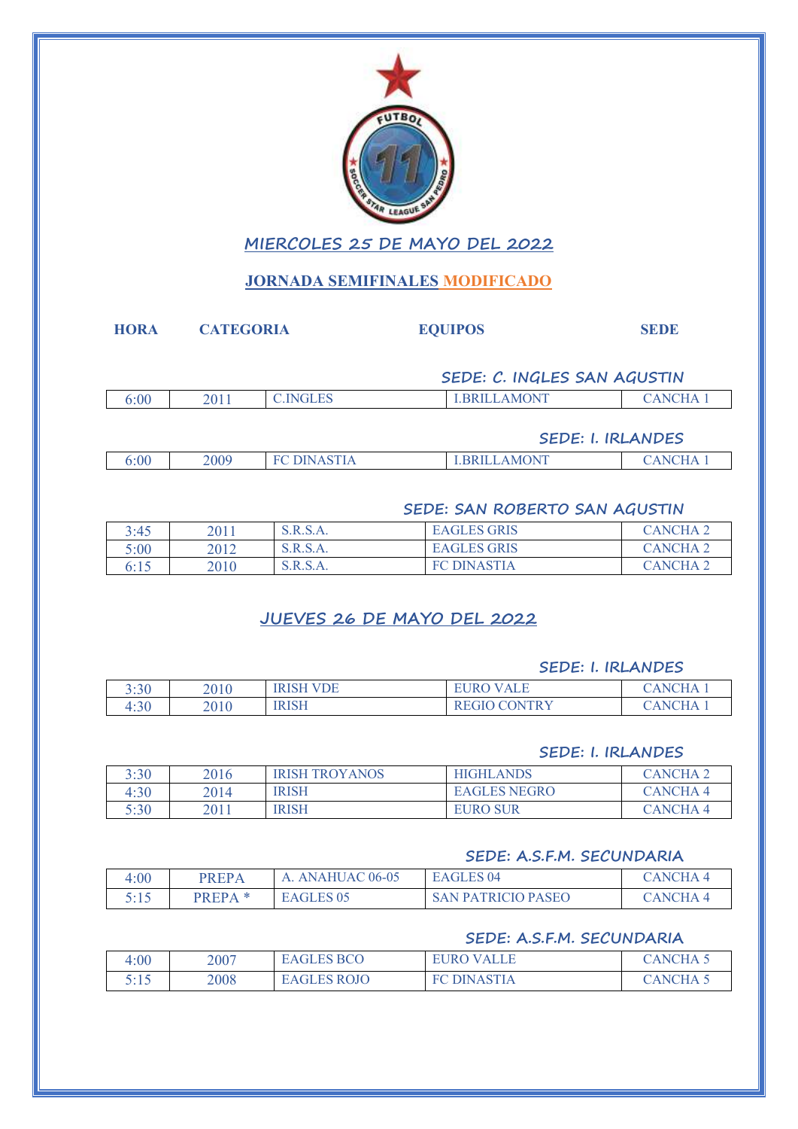

## **MIERCOLES 25 DE MAYO DEL 2022**

## **JORNADA SEMIFINALES MODIFICADO**

| <b>HORA</b> | <b>CATEGORIA</b> |                 | <b>EQUIPOS</b>              | <b>SEDE</b>              |
|-------------|------------------|-----------------|-----------------------------|--------------------------|
|             |                  |                 | SEDE: C. INGLES SAN AGUSTIN |                          |
| 6:00        | 2011             | <b>C.INGLES</b> | <b>LBRILLAMONT</b>          | <b>CANCHA1</b>           |
|             |                  |                 |                             | <b>SEDE: I. IRLANDES</b> |

|      |      |           | _____________________ |                                  |
|------|------|-----------|-----------------------|----------------------------------|
| 0.00 | 2009 | <b>MN</b> | <b>AMONT</b>          | $\mathbf{11} \mathbf{V}$<br>.NIO |

## **SEDE: SAN ROBERTO SAN AGUSTIN**

| 3:45 | 2011 | S.R.S.A. | <b>EAGLES GRIS</b>     | CANCHA 1        |
|------|------|----------|------------------------|-----------------|
| 5:00 | 2012 | S.R.S.A. | <b>EAGLES GRIS</b>     | <b>CANCHA 2</b> |
| 6:15 | 2010 | S.R.S.A. | <b>DINASTIA</b><br>EC. | CANCHA 2        |

## **JUEVES 26 DE MAYO DEL 2022**

#### **SEDE: I. IRLANDES**

| 3:30 | 2010 | <b>IRISH VDE</b> | <b>VALE</b><br>EURO           | <b>ANCHA</b>                                                 |
|------|------|------------------|-------------------------------|--------------------------------------------------------------|
| 4:30 | 2010 | <b>IRISH</b>     | <b>CONTRY</b><br><b>REGIO</b> | $\mathbf{T} \cap \mathbf{H} \Delta$<br>$\Delta \overline{N}$ |

#### **SEDE: I. IRLANDES**

| 3:30 | 2016 | <b>IRISH TROYANOS</b> | <b>HIGHLANDS</b>    | <b>CANCHA</b>  |
|------|------|-----------------------|---------------------|----------------|
| 4:30 | 2014 | <b>IRISH</b>          | <b>EAGLES NEGRO</b> | <b>CANCHA4</b> |
| 5:30 | 2011 | <b>IRISH</b>          | <b>EURO SUR</b>     | $CANCHA$ 4     |

#### **SEDE: A.S.F.M. SECUNDARIA**

| 4:00 | PREPA                                         | A. ANAHUAC 06-05 | <b>EAGLES 04</b>          | <b>CANCHA 4</b>         |
|------|-----------------------------------------------|------------------|---------------------------|-------------------------|
| 5:15 | $\mathbf{p} \mathbf{p} \mathbf{p} \mathbf{p}$ | EAGLES 05        | <b>SAN PATRICIO PASEO</b> | $\alpha$ ANCHA $\alpha$ |

### **SEDE: A.S.F.M. SECUNDARIA**

| 4:00                    | 2007 | EAGLES BCO         | <b>EURO VALLE</b> | CANCHA 5 |
|-------------------------|------|--------------------|-------------------|----------|
| 5 - 1 5<br><u> J.IJ</u> | 2008 | <b>EAGLES ROJO</b> | DINASTIA          | `ANCHA . |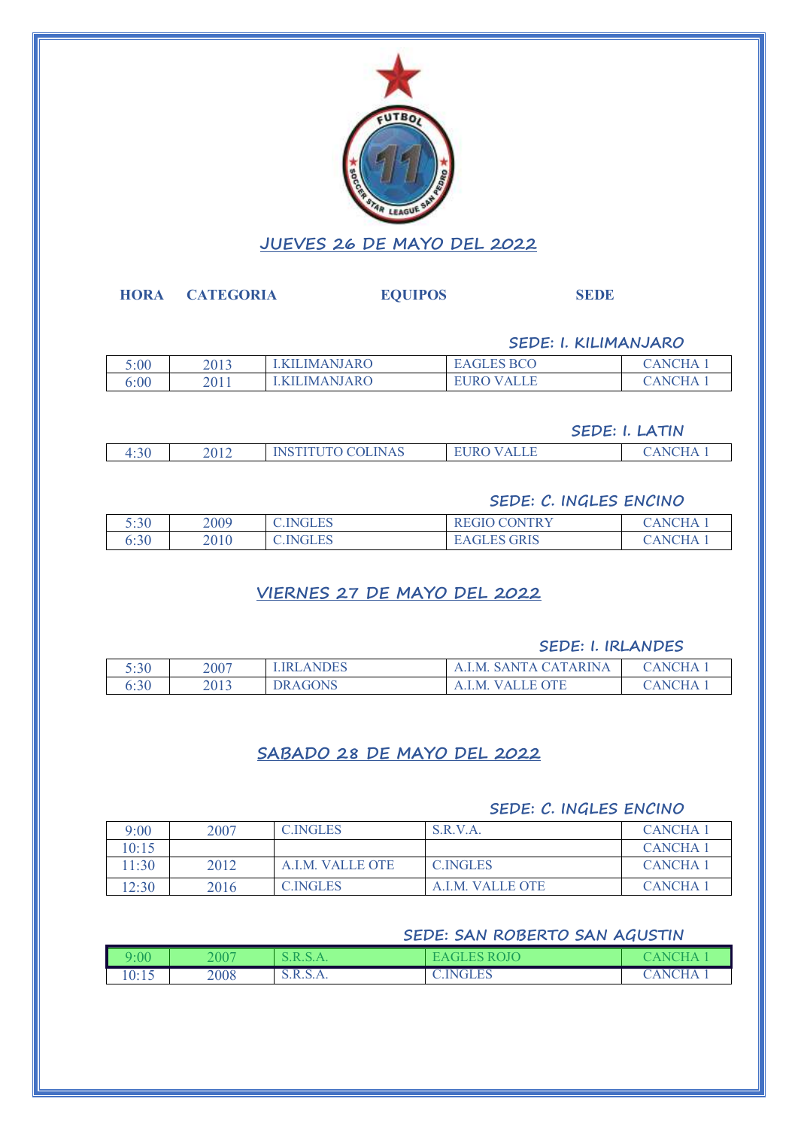

#### **HORA CATEGORIA EQUIPOS SEDE**

**SEDE: I. KILIMANJARO**

| 5:00 | 2012<br>2013 | LIMANJARO        | 'S BCO             | $\Gamma$ $\rm{H \, \Delta}$<br>NH |
|------|--------------|------------------|--------------------|-----------------------------------|
| 6:00 | 2011         | <b>LIMANJARO</b> | <b>ALLE</b><br>±R€ | $\Gamma$ li $\Lambda$<br>. NP     |

**SEDE: I. LATIN**

| <b>NAS</b><br>$\Omega$<br>າ∩1≏<br>7 N.I.S<br>. н<br>1.JV<br>◡⊥∠<br>_____<br>____ |  |  |  |
|----------------------------------------------------------------------------------|--|--|--|
|                                                                                  |  |  |  |

#### **SEDE: C. INGLES ENCINO**

| 5:30 | 2009 | <b>C.INGLES</b> | ) CONTRY<br>ALUIU V          | 'H A<br>4 N.I |
|------|------|-----------------|------------------------------|---------------|
| 6:30 | 2010 | <b>C.INGLES</b> | <b>GRIS</b><br><b>EAGLES</b> | ٦HΔ<br>ANI N  |

## **VIERNES 27 DE MAYO DEL 2022**

### **SEDE: I. IRLANDES**

| 5:30 | 2007 | <b>ANDES</b>   | `ARINA<br>- SANTA CAT.<br>A.I.M. | $\tau$ HA<br>AN(      |
|------|------|----------------|----------------------------------|-----------------------|
| 6:30 | 2013 | <b>DRAGONS</b> | OTE<br>M<br>$V \Delta I$         | $\Delta$ NOH $\Delta$ |

## **SABADO 28 DE MAYO DEL 2022**

### **SEDE: C. INGLES ENCINO**

| 9:00  | 2007 | <b>C.INGLES</b>  | S.R.V.A.         | <b>CANCHA</b>       |
|-------|------|------------------|------------------|---------------------|
| 10:15 |      |                  |                  | <b>CANCHA</b>       |
| 11:30 | 2012 | A.I.M. VALLE OTE | <b>C.INGLES</b>  | CANCHA <sub>1</sub> |
| 12:30 | 2016 | <b>C.INGLES</b>  | A.I.M. VALLE OTE | <b>CANCHA</b>       |

## **SEDE: SAN ROBERTO SAN AGUSTIN**

| :00   | 2007 |          | OЈС                 |                                         |
|-------|------|----------|---------------------|-----------------------------------------|
| 10:15 | 2008 | D.K.D.A. | <b>INGLES</b><br>◡… | $\overline{CHA}$<br>$\Delta$ N $\alpha$ |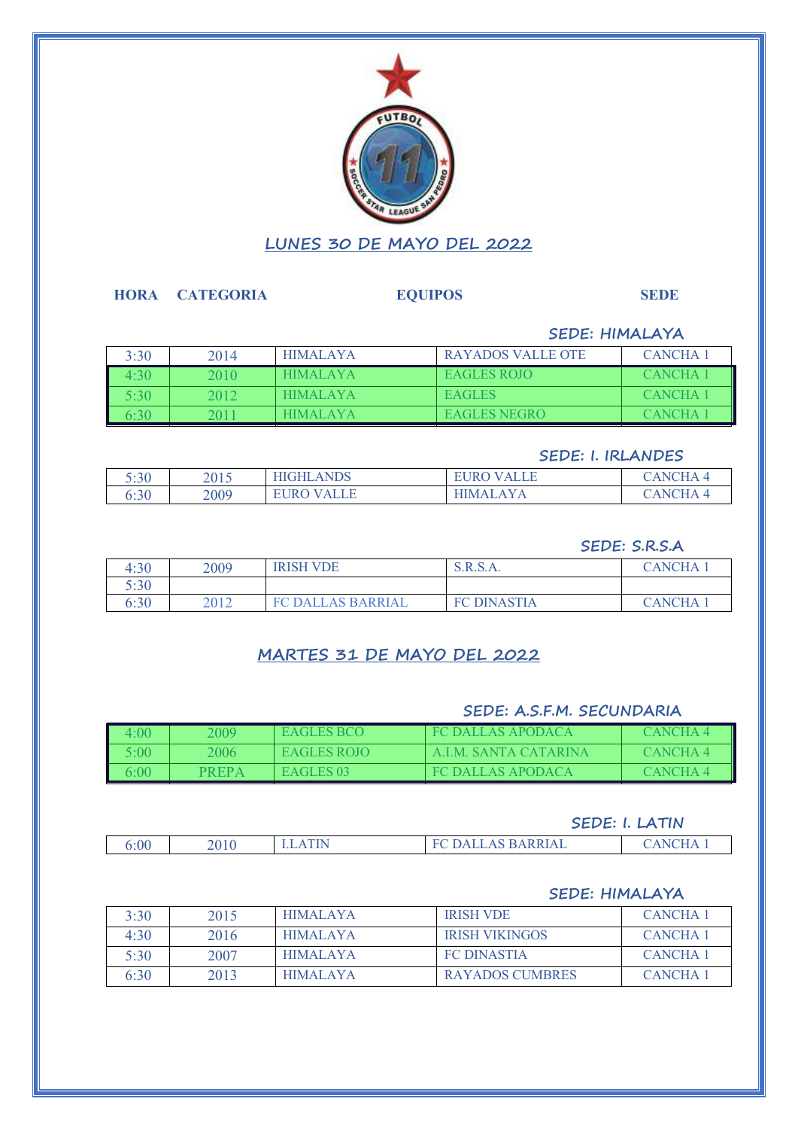

#### **HORA CATEGORIA EQUIPOS SEDE**

### **SEDE: HIMALAYA**

| 3:30             | 2014 | <b>HIMALAYA</b> | RAYADOS VALLE OTE   | <b>CANCHA 1</b>     |
|------------------|------|-----------------|---------------------|---------------------|
| 1.30             | 2010 | <b>HIMALAYA</b> | EAGLES ROIO         | CANCHA <sup>-</sup> |
| 5.30             | 2012 | <b>HIMALAYA</b> | EAGLES              | CANCHA <sup>-</sup> |
| .30 <sub>1</sub> | 201. | HIMAL AYA       | <b>EAGLES NEGRO</b> | CANCHA <b>E</b>     |

#### **SEDE: I. IRLANDES**

| 5:30 | 2015 | <b>ANDS</b><br><b>HIGHL</b> | <b>EURO VALLE</b>              | $\mathcal{L}$ HA<br>$\Delta$ N $\alpha$ |
|------|------|-----------------------------|--------------------------------|-----------------------------------------|
| 6:30 | 2009 | EURO-<br><b>ALLE</b>        | $\Lambda$ V $\Lambda$<br>HIMAI | 'ANCHA                                  |

#### **SEDE: S.R.S.A**

| 4:30 | 2009 | <b>IRISH VDE</b>         | S.R.S.A.           | <b>CANCHA</b> |
|------|------|--------------------------|--------------------|---------------|
| 5:30 |      |                          |                    |               |
| 6:30 | 2012 | <b>FC DALLAS BARRIAL</b> | <b>FC DINASTIA</b> | <b>CANCHA</b> |

## **MARTES 31 DE MAYO DEL 2022**

### **SEDE: A.S.F.M. SECUNDARIA**

| 1:00       | 2009  | EAGLES BCO  | FC DALLAS APODACA    | CANCHA 4 |
|------------|-------|-------------|----------------------|----------|
| $5:00^{-}$ | 2006  | EAGLES ROIO | A I M SANTA CATARINA | CANCHA 4 |
| 00         | PREPA | EAGLES 03   | FC DALLAS APODACA    | CANCHA 4 |

#### **SEDE: I. LATIN**

| 6:00 | 2010 | . .<br>ℶ<br>____ |  |
|------|------|------------------|--|
|      |      |                  |  |

#### **SEDE: HIMALAYA**

| 3:30 | 2015 | <b>HIMALAYA</b> | <b>IRISH VDE</b>       | CANCHA 1      |
|------|------|-----------------|------------------------|---------------|
| 4.30 | 2016 | <b>HIMALAYA</b> | <b>IRISH VIKINGOS</b>  | <b>CANCHA</b> |
| 5:30 | 2007 | <b>HIMALAYA</b> | <b>FC DINASTIA</b>     | <b>CANCHA</b> |
| 6:30 | 2013 | <b>HIMALAYA</b> | <b>RAYADOS CUMBRES</b> | <b>CANCHA</b> |